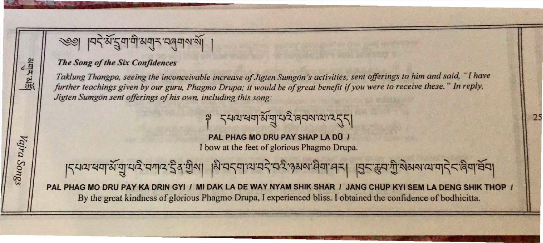$|q\vec{r}|$ अंदुवायोशयान पतुषारायो

#### *The Song of the Six Confidences*

**SHR-SHR** 

Vajra Songs

*Taklung Thangpa, seeing the inconceivable increase of Jigten Sumg6n 's activities, sent offerings to him and said, "I have forther teachings given by our guru, Phagmo Drupa; it would be of great benefit* if *you were to receive these.* " *In reply, Jigten Sumg6n sent offerings of his own, including this song:* 

**PAL PHAG MO DRU PAY SHAP LA DÜ /** I bow at the feet of glorious Phagmo Orupa.

 $\tilde{r}_{\text{min}}$ l'Z:त्राज्ञान्न्यान्नाद्राज्ञादाद्रवार्गदे रेथे सेली । शु.चर्चाज्ञातद्रवद्रुअलासेवा.संत्री । विराक्षेत्राज्ञानादे राष्ट्रवी. बुवाज्ञवी

**PAL PHAG MO DRU PAY KA ORIN GYI I MI OAK LA DE WAY NYAM SHIK SHAR I JANG CHUP KYI SEM LA DENG SHIK THOP I**  By the great kindness of glorious Phagmo Orupa, I experienced bliss. I obtained the confidence of bodhicitta.

## $54274737222225$

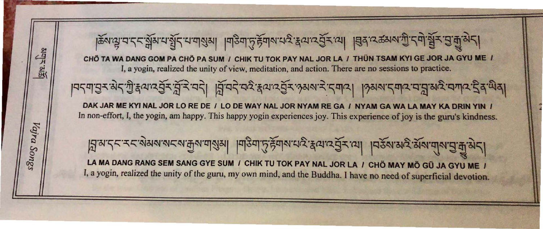**CAR ARIAN** DAK JAR ME KYI NAL JOR LO RE DE / LO DE WAY NAL JOR NYAM RE GA / NY Vajra Songs

# क्रियायाददार्भेयायार्थेदायार्थिया ।बोड़वार्ट्स्यायाद्राद्वयाद्येदाया ।ब्रियादक्षयाग्रीदवार्भ्रेदार्गुज्ञेदा।

CHÖ TA WA DANG GOM PA CHÖ PA SUM / CHIK TU TOK PAY NAL JOR LA / THÜN TSAM KYI GE JOR JA GYU ME / I, a yogin, realized the unity of view, meditation, and action. There are no sessions to practice.

|मदमायुर सेदगी:हत्यादेवेर त्रीरे मदी । त्रिमदे मदे:हत्यादेवेर:१सर्वर दमाद। ।१सर्वादमादमत्रात्राद्य समाद देव सेव।

In non-effort, I, the yogin, am happy. This happy yogin experiences joy. This experience of joy is the guru's kindness.

 $\frac{1}{2}$ निज़र र दलुश्वासर के ये जिले के विशेष के साथ पर के स्थान के साथ पर के साथ के प्रति की प्रति है।

LA MA DANG RANG SEM SANG GYE SUM / CHIK TU TOK PAY NAL JOR LA / CHO MAY MO GU JA GYU ME / I, a yogin, realized the unity of the guru, my own mind, and the Buddha. I have no need of superficial devotion.

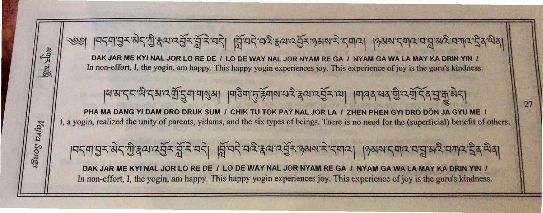

In non-effort, I, the yogin, am happy. This happy yogin experiences joy. This experience of joy is the guru's kindness.

la.s.: 22: कु. टेश. ड्यू. टैवा.वालेश । विठ्वा. टे. ड्रेवाल. तरु. क्षेत्र. जो । विडिये. तर्वे. टूर्वे. ट्रे. चै. अ

PHA MA DANG YI DAM DRO DRUK SUM / CHIK TU TOK PAY NAL JOR LA / ZHEN PHEN GYI DRO DÖN JA GYU ME / I, a yogin, realized the unity of parents, yidams, and the six types of beings. There is no need for the (superficial) benefit of others.

1959 35: अर्जा के दुर पर पर पर से स्वार्थ कर कर से अप से स्वार्थ के अन्य स्वार्थ कर से अपने स्वार्थ के स्वार्थ DAK JAR ME KYI NAL JOR LO RE DE / LO DE WAY NAL JOR NYAM RE GA / NYAM GA WA LA MAY KA DRIN YIN / In non-effort, I, the yogin, am happy. This happy yogin experiences joy. This experience of joy is the guru's kindness.

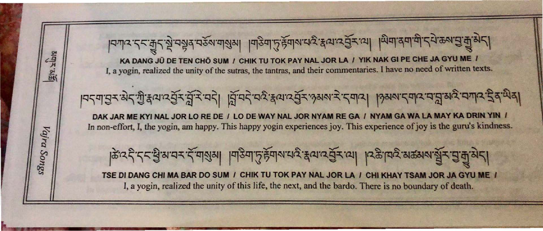$|d=|d-2|<\frac{2}{3}$  in the set of  $\frac{2}{3}$  in the  $\frac{2}{3}$  in the  $\frac{2}{3}$  in  $\frac{2}{3}$  in the  $\frac{2}{3}$ SHARITAS •  $|P54|$ युरु से $53$ क्षय मुंग्ले मुंग्ले मुंग्ले Vajr Ø. केंद्र देन र युं रायर र या गुया । पाउँपा Songs **TSE DI DANG CHI MA BAR DO SUM / CHII** I, a yogin, realized the unity of this l

KA DANG JÜ DE TEN CHÖ SUM / CHIK TU TOK PAY NAL JOR LA / YIK NAK GI PE CHE JA GYU ME / I, a yogin, realized the unity of the sutras, the tantras, and their commentaries. I have no need of written texts .

$$
ar^2 \frac{1}{4}ar^2 \frac{1}{2}ar^3 \frac{1}{2}ar^2 \frac{1}{2}ar^2 \left| \frac{1}{2}ar^2 \frac{1}{2}ar^2 \frac{1}{2}ar^2 \frac{1}{2}ar^2 \frac{1}{2}ar^2 \frac{1}{2}ar^2 \frac{1}{2}ar^2 \frac{1}{2}ar^2 \frac{1}{2}ar^2 \frac{1}{2}ar^2 \frac{1}{2}ar^2 \frac{1}{2}ar^2 \frac{1}{2}ar^2 \frac{1}{2}ar^2 \frac{1}{2}ar^2 \frac{1}{2}ar^2 \frac{1}{2}ar^2 \frac{1}{2}ar^2 \frac{1}{2}ar^2 \frac{1}{2}ar^2 \frac{1}{2}ar^2 \frac{1}{2}ar^2 \frac{1}{2}ar^2 \frac{1}{2}ar^2 \frac{1}{2}ar^2 \frac{1}{2}ar^2 \frac{1}{2}ar^2 \frac{1}{2}ar^2 \frac{1}{2}ar^2 \frac{1}{2}ar^2 \frac{1}{2}ar^2 \frac{1}{2}ar^2 \frac{1}{2}ar^2 \frac{1}{2}ar^2 \frac{1}{2}ar^2 \frac{1}{2}ar^2 \frac{1}{2}ar^2 \frac{1}{2}ar^2 \frac{1}{2}ar^2 \frac{1}{2}ar^2 \frac{1}{2}ar^2 \frac{1}{2}ar^2 \frac{1}{2}ar^2 \frac{1}{2}ar^2 \frac{1}{2}ar^2 \frac{1}{2}ar^2 \frac{1}{2}ar^2 \frac{1}{2}ar^2 \frac{1}{2}ar^2 \frac{1}{2}ar^2 \frac{1}{2}ar^2 \frac{1}{2}ar^2 \frac{1}{2}ar^2 \frac{1}{2}ar^2 \frac{1}{2}ar^2 \frac{1}{2}ar^2 \frac{1}{2}ar^2 \frac{1}{2}ar^2 \frac{1}{2}ar^2 \frac{1}{2}ar^2 \frac{1}{2}ar^2 \frac{1}{2}ar^2 \frac{1}{2}ar^2 \frac{1}{2}ar^2 \frac{1}{2}ar^2 \frac{1}{2}ar^2 \frac{1}{2}ar^2 \frac{1}{2}ar^2 \frac{1}{2}ar^2 \frac{1}{2}ar^2 \frac{1}{2}ar^2 \frac{1}{2
$$

DAK JAR ME KYI NAL JOR LO RE DE I LO DE WAY NAL JOR NYAM RE GA I NYAM GA WA LA MAY KA DRIN YIN I In non-effort, I, the yogin, am happy. This happy yogin experiences joy. This experience of joy is the guru's kindness.

$$
\frac{1}{2}\sum_{i=1}^{n} \frac{1}{2} \left( \frac{1}{2} \sum_{i=1}^{n} \frac{1}{2} \sum_{i=1}^{n} \frac{1}{2} \sum_{i=1}^{n} \frac{1}{2} \sum_{i=1}^{n} \frac{1}{2} \sum_{i=1}^{n} \frac{1}{2} \sum_{i=1}^{n} \frac{1}{2} \sum_{i=1}^{n} \frac{1}{2} \sum_{i=1}^{n} \frac{1}{2} \sum_{i=1}^{n} \frac{1}{2} \sum_{i=1}^{n} \frac{1}{2} \sum_{i=1}^{n} \frac{1}{2} \sum_{i=1}^{n} \frac{1}{2} \sum_{i=1}^{n} \frac{1}{2} \sum_{i=1}^{n} \frac{1}{2} \sum_{i=1}^{n} \frac{1}{2} \sum_{i=1}^{n} \frac{1}{2} \sum_{i=1}^{n} \frac{1}{2} \sum_{i=1}^{n} \frac{1}{2} \sum_{i=1}^{n} \frac{1}{2} \sum_{i=1}^{n} \frac{1}{2} \sum_{i=1}^{n} \frac{1}{2} \sum_{i=1}^{n} \frac{1}{2} \sum_{i=1}^{n} \frac{1}{2} \sum_{i=1}^{n} \frac{1}{2} \sum_{i=1}^{n} \frac{1}{2} \sum_{i=1}^{n} \frac{1}{2} \sum_{i=1}^{n} \frac{1}{2} \sum_{i=1}^{n} \frac{1}{2} \sum_{i=1}^{n} \frac{1}{2} \sum_{i=1}^{n} \frac{1}{2} \sum_{i=1}^{n} \frac{1}{2} \sum_{i=1}^{n} \frac{1}{2} \sum_{i=1}^{n} \frac{1}{2} \sum_{i=1}^{n} \frac{1}{2} \sum_{i=1}^{n} \frac{1}{2} \sum_{i=1}^{n} \frac{1}{2} \sum_{i=1}^{n} \frac{1}{2} \sum_{i=1}^{n} \frac{1}{2} \sum_{i=1}^{n} \frac{1}{2} \sum_{i=1}^{n} \frac{1}{2} \sum_{i=1}^{n} \frac{1}{2} \sum_{i=1}^{n} \frac{1}{2} \sum_{i=1}^{n} \frac{
$$

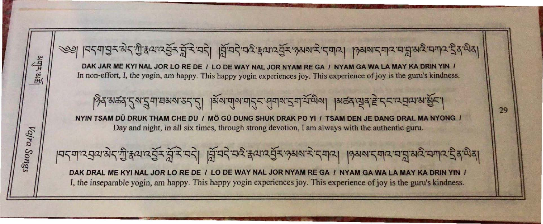..... C\, \_\_\_\_...."..,"" '" V"'" '" C\, ........ '" co... ~ ~ I Q '\ !!J 'r.!, .9121'01 '\ '~' ~ (lJ'r.!, S:r:, ',;J':r:, 'q '\ I ~ 'q " 'qr.!, , ~ c1J 'r.!, S:r:, ''701 ~ ':r:, '" !J]r.!, I \'7OJ ~' r::; 91'2.. 'c:r~'~ 'qITP; 4 3, ..... ~ \

### ह्र या र में र उसरा रे 'दमाय | उसरा इमार मन्ना रे मनार है दाये दा

AL JOR NYAM RE GA / NYAM GA WA LA MAY KA DRIN YIN / experiences joy. This experience of joy is the guru's kindness.

#### $10-9$   $-1.5$   $-1.5$   $-1.5$   $-1.5$   $-1.5$   $-1.5$   $-1.5$   $-1.5$   $-1.5$ SHUK DRAK PO YI / TSAM DEN JE DANG DRAL MA NYONG / ong devotion, I am always with the authentic guru.

IAL JOR NYAM RE GA I NYAM GA WA LA MAY KA DRIN YIN I experiences joy. This experience of joy is the guru's kindness.